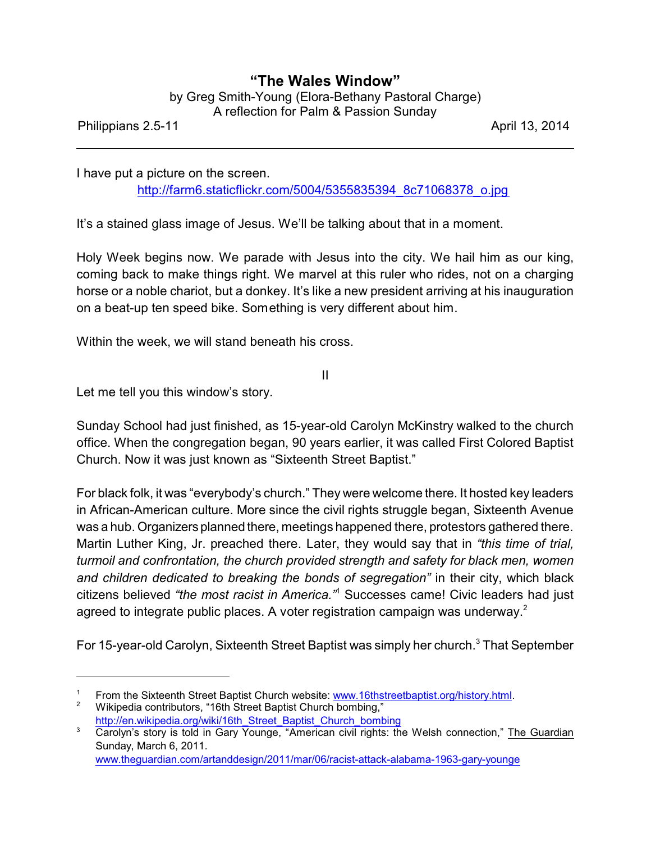# **"The Wales Window"**

| by Greg Smith-Young (Elora-Bethany Pastoral Charge) |
|-----------------------------------------------------|
| A reflection for Palm & Passion Sunday              |

Philippians 2.5-11 **April 13, 2014 April 13, 2014** 

I have put a picture on the screen. [http://farm6.staticflickr.com/5004/5355835394\\_8c71068378\\_o.jpg](http://farm6.staticflickr.com/5004/5355835394_8c71068378_o.jpg)

It's a stained glass image of Jesus. We'll be talking about that in a moment.

Holy Week begins now. We parade with Jesus into the city. We hail him as our king, coming back to make things right. We marvel at this ruler who rides, not on a charging horse or a noble chariot, but a donkey. It's like a new president arriving at his inauguration on a beat-up ten speed bike. Something is very different about him.

Within the week, we will stand beneath his cross.

II

Let me tell you this window's story.

Sunday School had just finished, as 15-year-old Carolyn McKinstry walked to the church office. When the congregation began, 90 years earlier, it was called First Colored Baptist Church. Now it was just known as "Sixteenth Street Baptist."

For black folk, it was "everybody's church." They were welcome there. It hosted key leaders in African-American culture. More since the civil rights struggle began, Sixteenth Avenue was a hub. Organizers planned there, meetings happened there, protestors gathered there. Martin Luther King, Jr. preached there. Later, they would say that in *"this time of trial, turmoil and confrontation, the church provided strength and safety for black men, women and children dedicated to breaking the bonds of segregation"* in their city, which black citizens believed *"the most racist in America."*<sup>1</sup> Successes came! Civic leaders had just agreed to integrate public places. A voter registration campaign was underway.<sup>2</sup>

For 15-year-old Carolyn, Sixteenth Street Baptist was simply her church.<sup>3</sup> That September

<sup>&</sup>lt;sup>1</sup> From the Sixteenth Street Baptist Church website: [www.16thstreetbaptist.org/history.html](http://www.16thstreetbaptist.org/history.html).

<sup>2</sup> Wikipedia contributors, "16th Street Baptist Church bombing," [http://en.wikipedia.org/wiki/16th\\_Street\\_Baptist\\_Church\\_bombing](http://en.wikipedia.org/wiki/16th_Street_Baptist_Church_bombing)

Carolyn's story is told in Gary Younge, "American civil rights: the Welsh connection," The Guardian Sunday, March 6, 2011. [www.theguardian.com/artanddesign/2011/mar/06/racist-attack-alabama-1963-gary-younge](http://www.theguardian.com/artanddesign/2011/mar/06/racist-attack-alabama-1963-gary-younge)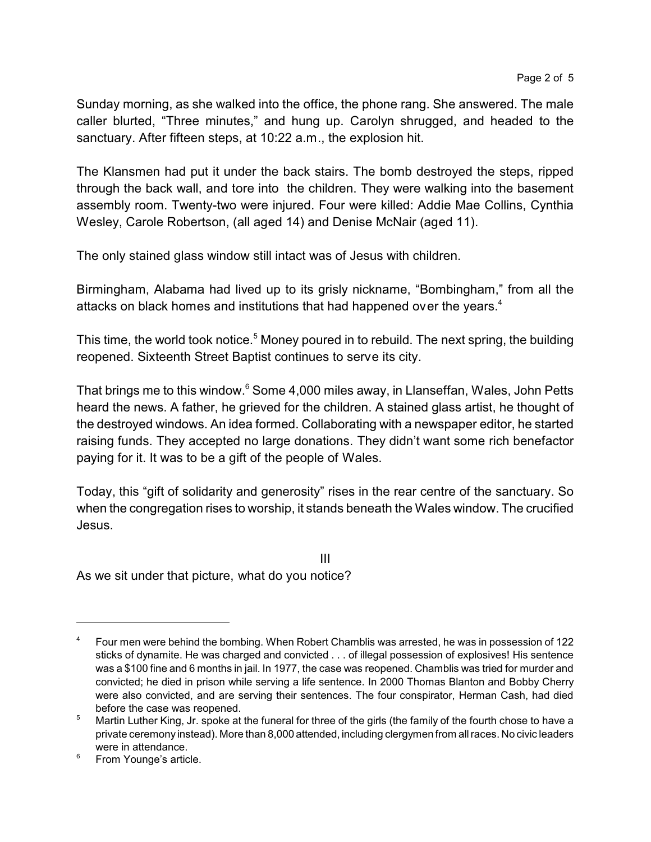Sunday morning, as she walked into the office, the phone rang. She answered. The male caller blurted, "Three minutes," and hung up. Carolyn shrugged, and headed to the sanctuary. After fifteen steps, at 10:22 a.m., the explosion hit.

The Klansmen had put it under the back stairs. The bomb destroyed the steps, ripped through the back wall, and tore into the children. They were walking into the basement assembly room. Twenty-two were injured. Four were killed: Addie Mae Collins, Cynthia Wesley, Carole Robertson, (all aged 14) and Denise McNair (aged 11).

The only stained glass window still intact was of Jesus with children.

Birmingham, Alabama had lived up to its grisly nickname, "Bombingham," from all the attacks on black homes and institutions that had happened over the years.<sup>4</sup>

This time, the world took notice.<sup>5</sup> Money poured in to rebuild. The next spring, the building reopened. Sixteenth Street Baptist continues to serve its city.

That brings me to this window. <sup>6</sup> Some 4,000 miles away, in Llanseffan, Wales, John Petts heard the news. A father, he grieved for the children. A stained glass artist, he thought of the destroyed windows. An idea formed. Collaborating with a newspaper editor, he started raising funds. They accepted no large donations. They didn't want some rich benefactor paying for it. It was to be a gift of the people of Wales.

Today, this "gift of solidarity and generosity" rises in the rear centre of the sanctuary. So when the congregation rises to worship, it stands beneath the Wales window. The crucified Jesus.

III As we sit under that picture, what do you notice?

<sup>4</sup> Four men were behind the bombing. When Robert Chamblis was arrested, he was in possession of 122 sticks of dynamite. He was charged and convicted . . . of illegal possession of explosives! His sentence was a \$100 fine and 6 months in jail. In 1977, the case was reopened. Chamblis was tried for murder and convicted; he died in prison while serving a life sentence. In 2000 Thomas Blanton and Bobby Cherry were also convicted, and are serving their sentences. The four conspirator, Herman Cash, had died before the case was reopened.

<sup>&</sup>lt;sup>5</sup> Martin Luther King, Jr. spoke at the funeral for three of the girls (the family of the fourth chose to have a private ceremony instead). More than 8,000 attended, including clergymen from allraces. No civic leaders were in attendance.

<sup>&</sup>lt;sup>6</sup> From Younge's article.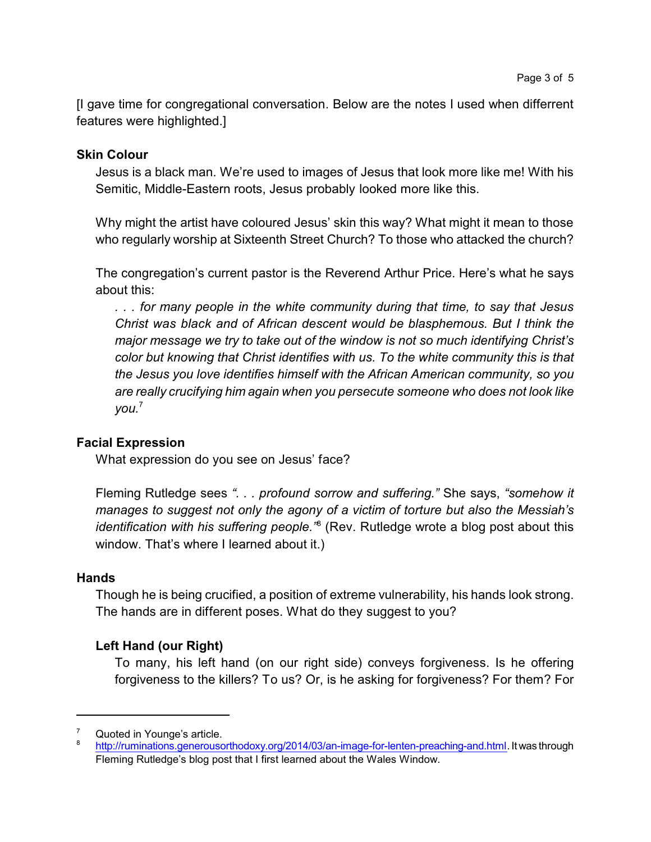[I gave time for congregational conversation. Below are the notes I used when differrent features were highlighted.]

## **Skin Colour**

Jesus is a black man. We're used to images of Jesus that look more like me! With his Semitic, Middle-Eastern roots, Jesus probably looked more like this.

Why might the artist have coloured Jesus' skin this way? What might it mean to those who regularly worship at Sixteenth Street Church? To those who attacked the church?

The congregation's current pastor is the Reverend Arthur Price. Here's what he says about this:

*. . . for many people in the white community during that time, to say that Jesus Christ was black and of African descent would be blasphemous. But I think the major message we try to take out of the window is not so much identifying Christ's color but knowing that Christ identifies with us. To the white community this is that the Jesus you love identifies himself with the African American community, so you are really crucifying him again when you persecute someone who does not look like you.*<sup>7</sup>

# **Facial Expression**

What expression do you see on Jesus' face?

Fleming Rutledge sees *". . . profound sorrow and suffering."* She says, *"somehow it manages to suggest not only the agony of a victim of torture but also the Messiah's identification with his suffering people."*<sup>8</sup> (Rev. Rutledge wrote a blog post about this window. That's where I learned about it.)

## **Hands**

Though he is being crucified, a position of extreme vulnerability, his hands look strong. The hands are in different poses. What do they suggest to you?

# **Left Hand (our Right)**

To many, his left hand (on our right side) conveys forgiveness. Is he offering forgiveness to the killers? To us? Or, is he asking for forgiveness? For them? For

Quoted in Younge's article.

<sup>8</sup> <http://ruminations.generousorthodoxy.org/2014/03/an-image-for-lenten-preaching-and.html>. Itwas through Fleming Rutledge's blog post that I first learned about the Wales Window.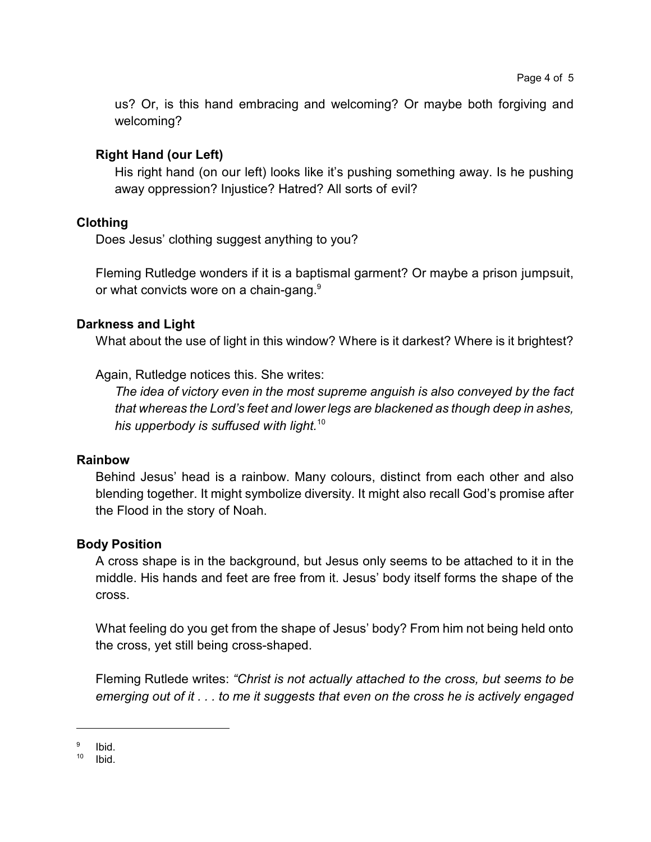us? Or, is this hand embracing and welcoming? Or maybe both forgiving and welcoming?

## **Right Hand (our Left)**

His right hand (on our left) looks like it's pushing something away. Is he pushing away oppression? Injustice? Hatred? All sorts of evil?

## **Clothing**

Does Jesus' clothing suggest anything to you?

Fleming Rutledge wonders if it is a baptismal garment? Or maybe a prison jumpsuit, or what convicts wore on a chain-gang. $^{\rm 9}$ 

## **Darkness and Light**

What about the use of light in this window? Where is it darkest? Where is it brightest?

Again, Rutledge notices this. She writes:

*The idea of victory even in the most supreme anguish is also conveyed by the fact that whereas the Lord's feet and lower legs are blackened as though deep in ashes, his upperbody is suffused with light.*<sup>10</sup>

## **Rainbow**

Behind Jesus' head is a rainbow. Many colours, distinct from each other and also blending together. It might symbolize diversity. It might also recall God's promise after the Flood in the story of Noah.

## **Body Position**

A cross shape is in the background, but Jesus only seems to be attached to it in the middle. His hands and feet are free from it. Jesus' body itself forms the shape of the cross.

What feeling do you get from the shape of Jesus' body? From him not being held onto the cross, yet still being cross-shaped.

Fleming Rutlede writes: *"Christ is not actually attached to the cross, but seems to be emerging out of it . . . to me it suggests that even on the cross he is actively engaged*

<sup>9</sup> Ibid.

 $10$  Ibid.